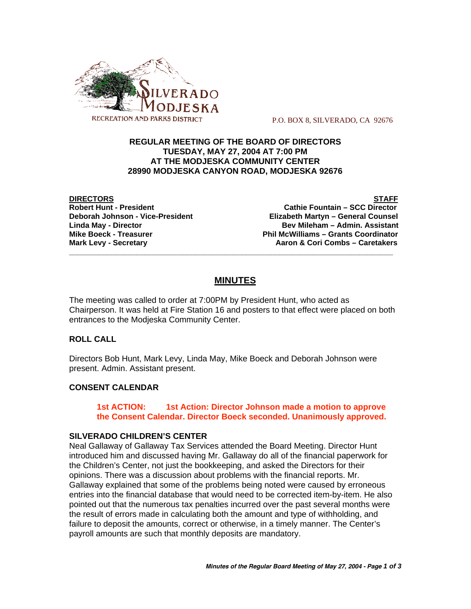

P.O. BOX 8, SILVERADO, CA 92676

## **REGULAR MEETING OF THE BOARD OF DIRECTORS TUESDAY, MAY 27, 2004 AT 7:00 PM AT THE MODJESKA COMMUNITY CENTER 28990 MODJESKA CANYON ROAD, MODJESKA 92676**

**DIRECTORS STAFF**

**Cathie Fountain – SCC Director Deborah Johnson - Vice-President Elizabeth Martyn – General Counsel Linda May - Director Bev Mileham – Admin. Assistant Mike Boeck - Treasurer Phil McWilliams – Grants Coordinator Mark Levy - Secretary Combs – Caretakers** Aaron & Cori Combs – Caretakers

# **MINUTES**

**\_\_\_\_\_\_\_\_\_\_\_\_\_\_\_\_\_\_\_\_\_\_\_\_\_\_\_\_\_\_\_\_\_\_\_\_\_\_\_\_\_\_\_\_\_\_\_\_\_\_\_\_\_\_\_\_\_\_\_\_\_\_\_\_\_\_\_\_\_\_\_\_\_\_\_\_\_**

The meeting was called to order at 7:00PM by President Hunt, who acted as Chairperson. It was held at Fire Station 16 and posters to that effect were placed on both entrances to the Modjeska Community Center.

#### **ROLL CALL**

Directors Bob Hunt, Mark Levy, Linda May, Mike Boeck and Deborah Johnson were present. Admin. Assistant present.

## **CONSENT CALENDAR**

**1st ACTION: 1st Action: Director Johnson made a motion to approve the Consent Calendar. Director Boeck seconded. Unanimously approved.**

#### **SILVERADO CHILDREN'S CENTER**

Neal Gallaway of Gallaway Tax Services attended the Board Meeting. Director Hunt introduced him and discussed having Mr. Gallaway do all of the financial paperwork for the Children's Center, not just the bookkeeping, and asked the Directors for their opinions. There was a discussion about problems with the financial reports. Mr. Gallaway explained that some of the problems being noted were caused by erroneous entries into the financial database that would need to be corrected item-by-item. He also pointed out that the numerous tax penalties incurred over the past several months were the result of errors made in calculating both the amount and type of withholding, and failure to deposit the amounts, correct or otherwise, in a timely manner. The Center's payroll amounts are such that monthly deposits are mandatory.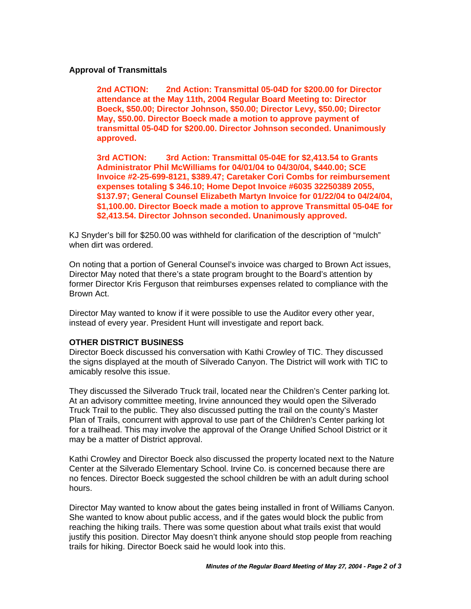## **Approval of Transmittals**

**2nd ACTION: 2nd Action: Transmittal 05-04D for \$200.00 for Director attendance at the May 11th, 2004 Regular Board Meeting to: Director Boeck, \$50.00; Director Johnson, \$50.00; Director Levy, \$50.00; Director May, \$50.00. Director Boeck made a motion to approve payment of transmittal 05-04D for \$200.00. Director Johnson seconded. Unanimously approved.**

**3rd ACTION: 3rd Action: Transmittal 05-04E for \$2,413.54 to Grants Administrator Phil McWilliams for 04/01/04 to 04/30/04, \$440.00; SCE Invoice #2-25-699-8121, \$389.47; Caretaker Cori Combs for reimbursement expenses totaling \$ 346.10; Home Depot Invoice #6035 32250389 2055, \$137.97; General Counsel Elizabeth Martyn Invoice for 01/22/04 to 04/24/04, \$1,100.00. Director Boeck made a motion to approve Transmittal 05-04E for \$2,413.54. Director Johnson seconded. Unanimously approved.**

KJ Snyder's bill for \$250.00 was withheld for clarification of the description of "mulch" when dirt was ordered.

On noting that a portion of General Counsel's invoice was charged to Brown Act issues, Director May noted that there's a state program brought to the Board's attention by former Director Kris Ferguson that reimburses expenses related to compliance with the Brown Act.

Director May wanted to know if it were possible to use the Auditor every other year, instead of every year. President Hunt will investigate and report back.

## **OTHER DISTRICT BUSINESS**

Director Boeck discussed his conversation with Kathi Crowley of TIC. They discussed the signs displayed at the mouth of Silverado Canyon. The District will work with TIC to amicably resolve this issue.

They discussed the Silverado Truck trail, located near the Children's Center parking lot. At an advisory committee meeting, Irvine announced they would open the Silverado Truck Trail to the public. They also discussed putting the trail on the county's Master Plan of Trails, concurrent with approval to use part of the Children's Center parking lot for a trailhead. This may involve the approval of the Orange Unified School District or it may be a matter of District approval.

Kathi Crowley and Director Boeck also discussed the property located next to the Nature Center at the Silverado Elementary School. Irvine Co. is concerned because there are no fences. Director Boeck suggested the school children be with an adult during school hours.

Director May wanted to know about the gates being installed in front of Williams Canyon. She wanted to know about public access, and if the gates would block the public from reaching the hiking trails. There was some question about what trails exist that would justify this position. Director May doesn't think anyone should stop people from reaching trails for hiking. Director Boeck said he would look into this.